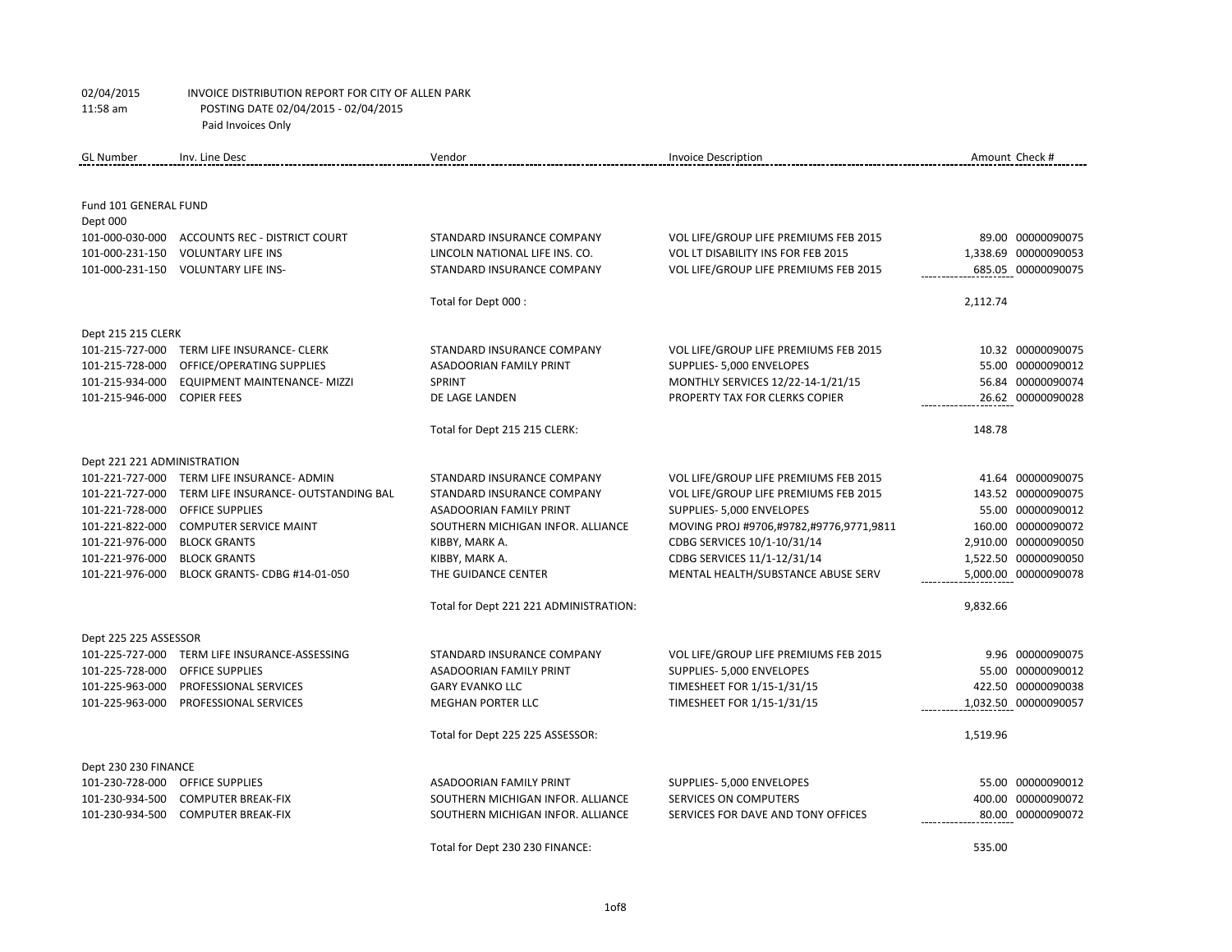| <b>GL Number</b>                  | Inv. Line Desc                             | Vendor                                 | <b>Invoice Description</b>              | Amount Check # |                      |
|-----------------------------------|--------------------------------------------|----------------------------------------|-----------------------------------------|----------------|----------------------|
|                                   |                                            |                                        |                                         |                |                      |
|                                   |                                            |                                        |                                         |                |                      |
| Fund 101 GENERAL FUND<br>Dept 000 |                                            |                                        |                                         |                |                      |
| 101-000-030-000                   | <b>ACCOUNTS REC - DISTRICT COURT</b>       | STANDARD INSURANCE COMPANY             | VOL LIFE/GROUP LIFE PREMIUMS FEB 2015   |                | 89.00 00000090075    |
| 101-000-231-150                   | <b>VOLUNTARY LIFE INS</b>                  | LINCOLN NATIONAL LIFE INS. CO.         | VOL LT DISABILITY INS FOR FEB 2015      |                | 1,338.69 00000090053 |
| 101-000-231-150                   | <b>VOLUNTARY LIFE INS-</b>                 | STANDARD INSURANCE COMPANY             | VOL LIFE/GROUP LIFE PREMIUMS FEB 2015   |                | 685.05 00000090075   |
|                                   |                                            |                                        |                                         |                |                      |
|                                   |                                            | Total for Dept 000 :                   |                                         | 2,112.74       |                      |
| Dept 215 215 CLERK                |                                            |                                        |                                         |                |                      |
| 101-215-727-000                   | TERM LIFE INSURANCE- CLERK                 | STANDARD INSURANCE COMPANY             | VOL LIFE/GROUP LIFE PREMIUMS FEB 2015   |                | 10.32 00000090075    |
| 101-215-728-000                   | OFFICE/OPERATING SUPPLIES                  | <b>ASADOORIAN FAMILY PRINT</b>         | SUPPLIES- 5,000 ENVELOPES               |                | 55.00 00000090012    |
| 101-215-934-000                   | EQUIPMENT MAINTENANCE- MIZZI               | <b>SPRINT</b>                          | MONTHLY SERVICES 12/22-14-1/21/15       |                | 56.84 00000090074    |
| 101-215-946-000                   | <b>COPIER FEES</b>                         | DE LAGE LANDEN                         | PROPERTY TAX FOR CLERKS COPIER          |                | 26.62 00000090028    |
|                                   |                                            |                                        |                                         |                |                      |
|                                   |                                            | Total for Dept 215 215 CLERK:          |                                         | 148.78         |                      |
| Dept 221 221 ADMINISTRATION       |                                            |                                        |                                         |                |                      |
|                                   | 101-221-727-000 TERM LIFE INSURANCE- ADMIN | STANDARD INSURANCE COMPANY             | VOL LIFE/GROUP LIFE PREMIUMS FEB 2015   |                | 41.64 00000090075    |
| 101-221-727-000                   | TERM LIFE INSURANCE- OUTSTANDING BAL       | STANDARD INSURANCE COMPANY             | VOL LIFE/GROUP LIFE PREMIUMS FEB 2015   |                | 143.52 00000090075   |
| 101-221-728-000                   | <b>OFFICE SUPPLIES</b>                     | <b>ASADOORIAN FAMILY PRINT</b>         | SUPPLIES- 5,000 ENVELOPES               |                | 55.00 00000090012    |
| 101-221-822-000                   | <b>COMPUTER SERVICE MAINT</b>              | SOUTHERN MICHIGAN INFOR. ALLIANCE      | MOVING PROJ #9706,#9782,#9776,9771,9811 |                | 160.00 00000090072   |
| 101-221-976-000                   | <b>BLOCK GRANTS</b>                        | KIBBY, MARK A.                         | CDBG SERVICES 10/1-10/31/14             |                | 2,910.00 00000090050 |
| 101-221-976-000                   | <b>BLOCK GRANTS</b>                        | KIBBY, MARK A.                         | CDBG SERVICES 11/1-12/31/14             |                | 1,522.50 00000090050 |
| 101-221-976-000                   | BLOCK GRANTS- CDBG #14-01-050              | THE GUIDANCE CENTER                    | MENTAL HEALTH/SUBSTANCE ABUSE SERV      |                | 5,000.00 00000090078 |
|                                   |                                            | Total for Dept 221 221 ADMINISTRATION: |                                         | 9,832.66       |                      |
| Dept 225 225 ASSESSOR             |                                            |                                        |                                         |                |                      |
| 101-225-727-000                   | TERM LIFE INSURANCE-ASSESSING              | STANDARD INSURANCE COMPANY             | VOL LIFE/GROUP LIFE PREMIUMS FEB 2015   |                | 9.96 00000090075     |
| 101-225-728-000                   | OFFICE SUPPLIES                            | <b>ASADOORIAN FAMILY PRINT</b>         | SUPPLIES- 5,000 ENVELOPES               |                | 55.00 00000090012    |
| 101-225-963-000                   | PROFESSIONAL SERVICES                      | <b>GARY EVANKO LLC</b>                 | TIMESHEET FOR 1/15-1/31/15              |                | 422.50 00000090038   |
| 101-225-963-000                   | PROFESSIONAL SERVICES                      | <b>MEGHAN PORTER LLC</b>               | TIMESHEET FOR 1/15-1/31/15              |                | 1,032.50 00000090057 |
|                                   |                                            |                                        |                                         |                |                      |
|                                   |                                            | Total for Dept 225 225 ASSESSOR:       |                                         | 1,519.96       |                      |
| Dept 230 230 FINANCE              |                                            |                                        |                                         |                |                      |
| 101-230-728-000                   | OFFICE SUPPLIES                            | <b>ASADOORIAN FAMILY PRINT</b>         | SUPPLIES- 5,000 ENVELOPES               |                | 55.00 00000090012    |
| 101-230-934-500                   | <b>COMPUTER BREAK-FIX</b>                  | SOUTHERN MICHIGAN INFOR. ALLIANCE      | SERVICES ON COMPUTERS                   |                | 400.00 00000090072   |
| 101-230-934-500                   | <b>COMPUTER BREAK-FIX</b>                  | SOUTHERN MICHIGAN INFOR. ALLIANCE      | SERVICES FOR DAVE AND TONY OFFICES      |                | 80.00 00000090072    |
|                                   |                                            | Total for Dept 230 230 FINANCE:        |                                         | 535.00         |                      |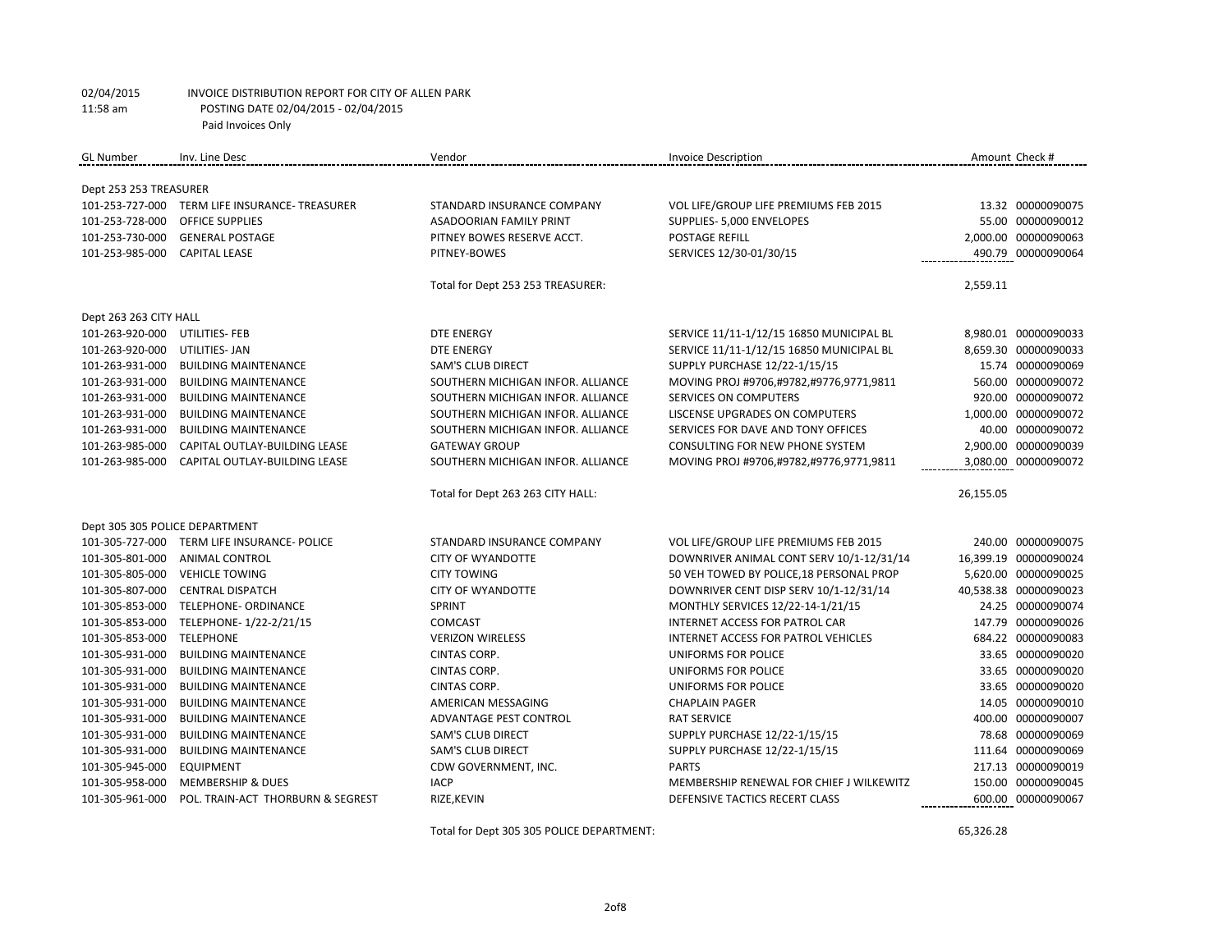| <b>GL</b> Number               | Inv. Line Desc                                | Vendor                            | <b>Invoice Description</b>                 | Amount Check #        |
|--------------------------------|-----------------------------------------------|-----------------------------------|--------------------------------------------|-----------------------|
|                                |                                               |                                   |                                            |                       |
| Dept 253 253 TREASURER         |                                               |                                   |                                            |                       |
|                                | 101-253-727-000 TERM LIFE INSURANCE-TREASURER | STANDARD INSURANCE COMPANY        | VOL LIFE/GROUP LIFE PREMIUMS FEB 2015      | 13.32 00000090075     |
| 101-253-728-000                | <b>OFFICE SUPPLIES</b>                        | <b>ASADOORIAN FAMILY PRINT</b>    | SUPPLIES- 5,000 ENVELOPES                  | 55.00 00000090012     |
| 101-253-730-000                | <b>GENERAL POSTAGE</b>                        | PITNEY BOWES RESERVE ACCT.        | POSTAGE REFILL                             | 2,000.00 00000090063  |
| 101-253-985-000                | <b>CAPITAL LEASE</b>                          | PITNEY-BOWES                      | SERVICES 12/30-01/30/15                    | 490.79 00000090064    |
|                                |                                               | Total for Dept 253 253 TREASURER: |                                            | 2,559.11              |
| Dept 263 263 CITY HALL         |                                               |                                   |                                            |                       |
| 101-263-920-000 UTILITIES- FEB |                                               | <b>DTE ENERGY</b>                 | SERVICE 11/11-1/12/15 16850 MUNICIPAL BL   | 8,980.01 00000090033  |
| 101-263-920-000                | UTILITIES- JAN                                | <b>DTE ENERGY</b>                 | SERVICE 11/11-1/12/15 16850 MUNICIPAL BL   | 8,659.30 00000090033  |
| 101-263-931-000                | <b>BUILDING MAINTENANCE</b>                   | <b>SAM'S CLUB DIRECT</b>          | SUPPLY PURCHASE 12/22-1/15/15              | 15.74 00000090069     |
| 101-263-931-000                | <b>BUILDING MAINTENANCE</b>                   | SOUTHERN MICHIGAN INFOR. ALLIANCE | MOVING PROJ #9706,#9782,#9776,9771,9811    | 560.00 00000090072    |
| 101-263-931-000                | <b>BUILDING MAINTENANCE</b>                   | SOUTHERN MICHIGAN INFOR. ALLIANCE | SERVICES ON COMPUTERS                      | 920.00 00000090072    |
| 101-263-931-000                | <b>BUILDING MAINTENANCE</b>                   | SOUTHERN MICHIGAN INFOR. ALLIANCE | LISCENSE UPGRADES ON COMPUTERS             | 1,000.00 00000090072  |
| 101-263-931-000                | <b>BUILDING MAINTENANCE</b>                   | SOUTHERN MICHIGAN INFOR. ALLIANCE | SERVICES FOR DAVE AND TONY OFFICES         | 40.00 00000090072     |
| 101-263-985-000                | CAPITAL OUTLAY-BUILDING LEASE                 | <b>GATEWAY GROUP</b>              | CONSULTING FOR NEW PHONE SYSTEM            | 2,900.00 00000090039  |
| 101-263-985-000                | CAPITAL OUTLAY-BUILDING LEASE                 | SOUTHERN MICHIGAN INFOR. ALLIANCE | MOVING PROJ #9706,#9782,#9776,9771,9811    | 3,080.00 00000090072  |
|                                |                                               | Total for Dept 263 263 CITY HALL: |                                            | 26,155.05             |
| Dept 305 305 POLICE DEPARTMENT |                                               |                                   |                                            |                       |
|                                | 101-305-727-000 TERM LIFE INSURANCE- POLICE   | STANDARD INSURANCE COMPANY        | VOL LIFE/GROUP LIFE PREMIUMS FEB 2015      | 240.00 00000090075    |
| 101-305-801-000                | <b>ANIMAL CONTROL</b>                         | <b>CITY OF WYANDOTTE</b>          | DOWNRIVER ANIMAL CONT SERV 10/1-12/31/14   | 16,399.19 00000090024 |
| 101-305-805-000                | <b>VEHICLE TOWING</b>                         | <b>CITY TOWING</b>                | 50 VEH TOWED BY POLICE, 18 PERSONAL PROP   | 5,620.00 00000090025  |
| 101-305-807-000                | <b>CENTRAL DISPATCH</b>                       | <b>CITY OF WYANDOTTE</b>          | DOWNRIVER CENT DISP SERV 10/1-12/31/14     | 40,538.38 00000090023 |
| 101-305-853-000                | <b>TELEPHONE- ORDINANCE</b>                   | SPRINT                            | MONTHLY SERVICES 12/22-14-1/21/15          | 24.25 00000090074     |
| 101-305-853-000                | TELEPHONE-1/22-2/21/15                        | <b>COMCAST</b>                    | INTERNET ACCESS FOR PATROL CAR             | 147.79 00000090026    |
| 101-305-853-000                | <b>TELEPHONE</b>                              | <b>VERIZON WIRELESS</b>           | <b>INTERNET ACCESS FOR PATROL VEHICLES</b> | 684.22 00000090083    |
| 101-305-931-000                | <b>BUILDING MAINTENANCE</b>                   | CINTAS CORP.                      | UNIFORMS FOR POLICE                        | 33.65 00000090020     |
| 101-305-931-000                | <b>BUILDING MAINTENANCE</b>                   | CINTAS CORP.                      | UNIFORMS FOR POLICE                        | 33.65 00000090020     |
| 101-305-931-000                | <b>BUILDING MAINTENANCE</b>                   | CINTAS CORP.                      | UNIFORMS FOR POLICE                        | 33.65 00000090020     |
| 101-305-931-000                | <b>BUILDING MAINTENANCE</b>                   | AMERICAN MESSAGING                | <b>CHAPLAIN PAGER</b>                      | 14.05 00000090010     |
| 101-305-931-000                | <b>BUILDING MAINTENANCE</b>                   | <b>ADVANTAGE PEST CONTROL</b>     | <b>RAT SERVICE</b>                         | 400.00 00000090007    |
| 101-305-931-000                | <b>BUILDING MAINTENANCE</b>                   | <b>SAM'S CLUB DIRECT</b>          | SUPPLY PURCHASE 12/22-1/15/15              | 78.68 00000090069     |
| 101-305-931-000                | <b>BUILDING MAINTENANCE</b>                   | <b>SAM'S CLUB DIRECT</b>          | SUPPLY PURCHASE 12/22-1/15/15              | 111.64 00000090069    |
| 101-305-945-000                | <b>EQUIPMENT</b>                              | CDW GOVERNMENT, INC.              | <b>PARTS</b>                               | 217.13 00000090019    |
| 101-305-958-000                | <b>MEMBERSHIP &amp; DUES</b>                  | <b>IACP</b>                       | MEMBERSHIP RENEWAL FOR CHIEF J WILKEWITZ   | 150.00 00000090045    |
| 101-305-961-000                | POL. TRAIN-ACT THORBURN & SEGREST             | RIZE, KEVIN                       | DEFENSIVE TACTICS RECERT CLASS             | 600.00 00000090067    |

Total for Dept 305 305 POLICE DEPARTMENT: 65,326.28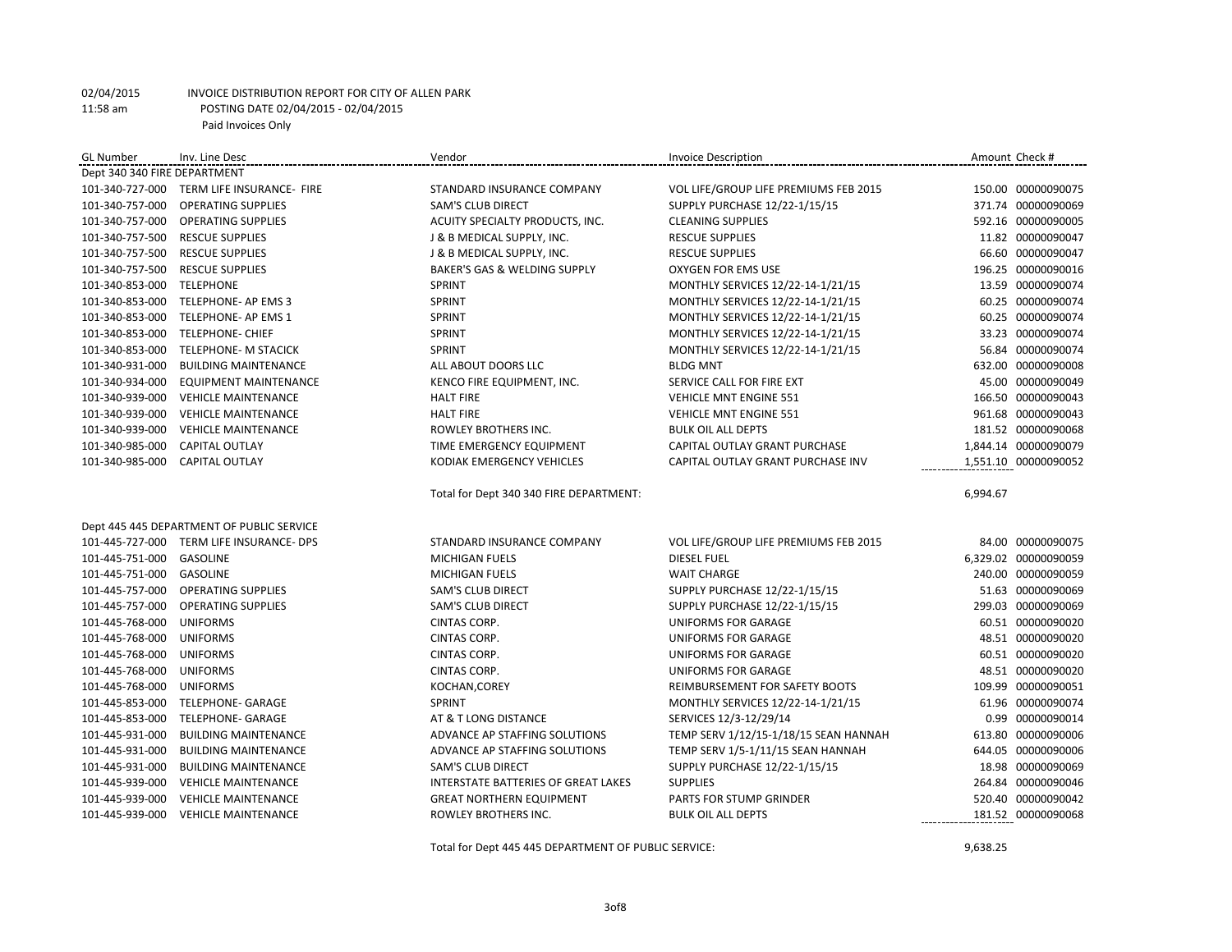| <b>GL Number</b>         | Inv. Line Desc                            | Vendor                                  | <b>Invoice Description</b>            | Amount Check #       |  |  |
|--------------------------|-------------------------------------------|-----------------------------------------|---------------------------------------|----------------------|--|--|
|                          | Dept 340 340 FIRE DEPARTMENT              |                                         |                                       |                      |  |  |
|                          | 101-340-727-000 TERM LIFE INSURANCE- FIRE | STANDARD INSURANCE COMPANY              | VOL LIFE/GROUP LIFE PREMIUMS FEB 2015 | 150.00 00000090075   |  |  |
|                          | 101-340-757-000 OPERATING SUPPLIES        | SAM'S CLUB DIRECT                       | SUPPLY PURCHASE 12/22-1/15/15         | 371.74 00000090069   |  |  |
| 101-340-757-000          | <b>OPERATING SUPPLIES</b>                 | ACUITY SPECIALTY PRODUCTS, INC.         | <b>CLEANING SUPPLIES</b>              | 592.16 00000090005   |  |  |
| 101-340-757-500          | <b>RESCUE SUPPLIES</b>                    | J & B MEDICAL SUPPLY, INC.              | <b>RESCUE SUPPLIES</b>                | 11.82 00000090047    |  |  |
| 101-340-757-500          | <b>RESCUE SUPPLIES</b>                    | J & B MEDICAL SUPPLY, INC.              | <b>RESCUE SUPPLIES</b>                | 66.60 00000090047    |  |  |
| 101-340-757-500          | <b>RESCUE SUPPLIES</b>                    | BAKER'S GAS & WELDING SUPPLY            | OXYGEN FOR EMS USE                    | 196.25 00000090016   |  |  |
| 101-340-853-000          | <b>TELEPHONE</b>                          | SPRINT                                  | MONTHLY SERVICES 12/22-14-1/21/15     | 13.59 00000090074    |  |  |
| 101-340-853-000          | TELEPHONE- AP EMS 3                       | SPRINT                                  | MONTHLY SERVICES 12/22-14-1/21/15     | 60.25 00000090074    |  |  |
| 101-340-853-000          | TELEPHONE- AP EMS 1                       | SPRINT                                  | MONTHLY SERVICES 12/22-14-1/21/15     | 60.25 00000090074    |  |  |
| 101-340-853-000          | <b>TELEPHONE- CHIEF</b>                   | SPRINT                                  | MONTHLY SERVICES 12/22-14-1/21/15     | 33.23 00000090074    |  |  |
| 101-340-853-000          | TELEPHONE- M STACICK                      | SPRINT                                  | MONTHLY SERVICES 12/22-14-1/21/15     | 56.84 00000090074    |  |  |
| 101-340-931-000          | <b>BUILDING MAINTENANCE</b>               | ALL ABOUT DOORS LLC                     | <b>BLDG MNT</b>                       | 632.00 00000090008   |  |  |
| 101-340-934-000          | <b>EQUIPMENT MAINTENANCE</b>              | KENCO FIRE EQUIPMENT, INC.              | SERVICE CALL FOR FIRE EXT             | 45.00 00000090049    |  |  |
| 101-340-939-000          | <b>VEHICLE MAINTENANCE</b>                | <b>HALT FIRE</b>                        | <b>VEHICLE MNT ENGINE 551</b>         | 166.50 00000090043   |  |  |
| 101-340-939-000          | <b>VEHICLE MAINTENANCE</b>                | <b>HALT FIRE</b>                        | <b>VEHICLE MNT ENGINE 551</b>         | 961.68 00000090043   |  |  |
| 101-340-939-000          | <b>VEHICLE MAINTENANCE</b>                | ROWLEY BROTHERS INC.                    | <b>BULK OIL ALL DEPTS</b>             | 181.52 00000090068   |  |  |
| 101-340-985-000          | <b>CAPITAL OUTLAY</b>                     | TIME EMERGENCY EQUIPMENT                | CAPITAL OUTLAY GRANT PURCHASE         | 1,844.14 00000090079 |  |  |
| 101-340-985-000          | <b>CAPITAL OUTLAY</b>                     | KODIAK EMERGENCY VEHICLES               | CAPITAL OUTLAY GRANT PURCHASE INV     | 1,551.10 00000090052 |  |  |
|                          |                                           |                                         |                                       |                      |  |  |
|                          |                                           | Total for Dept 340 340 FIRE DEPARTMENT: |                                       | 6,994.67             |  |  |
|                          |                                           |                                         |                                       |                      |  |  |
|                          | Dept 445 445 DEPARTMENT OF PUBLIC SERVICE |                                         |                                       |                      |  |  |
|                          | 101-445-727-000 TERM LIFE INSURANCE- DPS  | STANDARD INSURANCE COMPANY              | VOL LIFE/GROUP LIFE PREMIUMS FEB 2015 | 84.00 00000090075    |  |  |
| 101-445-751-000 GASOLINE |                                           | MICHIGAN FUELS                          | <b>DIESEL FUEL</b>                    |                      |  |  |
| 101-445-751-000          |                                           |                                         |                                       | 6,329.02 00000090059 |  |  |
|                          | GASOLINE                                  | MICHIGAN FUELS                          | <b>WAIT CHARGE</b>                    | 240.00 00000090059   |  |  |
|                          | 101-445-757-000 OPERATING SUPPLIES        | <b>SAM'S CLUB DIRECT</b>                | SUPPLY PURCHASE 12/22-1/15/15         | 51.63 00000090069    |  |  |
| 101-445-757-000          | <b>OPERATING SUPPLIES</b>                 | <b>SAM'S CLUB DIRECT</b>                | SUPPLY PURCHASE 12/22-1/15/15         | 299.03 00000090069   |  |  |
| 101-445-768-000          | <b>UNIFORMS</b>                           | <b>CINTAS CORP.</b>                     | UNIFORMS FOR GARAGE                   | 60.51 00000090020    |  |  |
| 101-445-768-000          | <b>UNIFORMS</b>                           | CINTAS CORP.                            | UNIFORMS FOR GARAGE                   | 48.51 00000090020    |  |  |
| 101-445-768-000          | <b>UNIFORMS</b>                           | CINTAS CORP.                            | UNIFORMS FOR GARAGE                   | 60.51 00000090020    |  |  |
| 101-445-768-000          | <b>UNIFORMS</b>                           | CINTAS CORP.                            | <b>UNIFORMS FOR GARAGE</b>            | 48.51 00000090020    |  |  |
| 101-445-768-000          | <b>UNIFORMS</b>                           | KOCHAN, COREY                           | REIMBURSEMENT FOR SAFETY BOOTS        | 109.99 00000090051   |  |  |
| 101-445-853-000          | <b>TELEPHONE- GARAGE</b>                  | SPRINT                                  | MONTHLY SERVICES 12/22-14-1/21/15     | 61.96 00000090074    |  |  |
| 101-445-853-000          | <b>TELEPHONE- GARAGE</b>                  | AT & T LONG DISTANCE                    | SERVICES 12/3-12/29/14                | 0.99 00000090014     |  |  |
| 101-445-931-000          | <b>BUILDING MAINTENANCE</b>               | ADVANCE AP STAFFING SOLUTIONS           | TEMP SERV 1/12/15-1/18/15 SEAN HANNAH | 613.80 00000090006   |  |  |
| 101-445-931-000          | <b>BUILDING MAINTENANCE</b>               | ADVANCE AP STAFFING SOLUTIONS           | TEMP SERV 1/5-1/11/15 SEAN HANNAH     | 644.05 00000090006   |  |  |
| 101-445-931-000          | <b>BUILDING MAINTENANCE</b>               | <b>SAM'S CLUB DIRECT</b>                | SUPPLY PURCHASE 12/22-1/15/15         | 18.98 00000090069    |  |  |
| 101-445-939-000          | <b>VEHICLE MAINTENANCE</b>                | INTERSTATE BATTERIES OF GREAT LAKES     | <b>SUPPLIES</b>                       | 264.84 00000090046   |  |  |
| 101-445-939-000          | <b>VEHICLE MAINTENANCE</b>                | <b>GREAT NORTHERN EQUIPMENT</b>         | PARTS FOR STUMP GRINDER               | 520.40 00000090042   |  |  |

Total for Dept 445 445 DEPARTMENT OF PUBLIC SERVICE: 9,638.25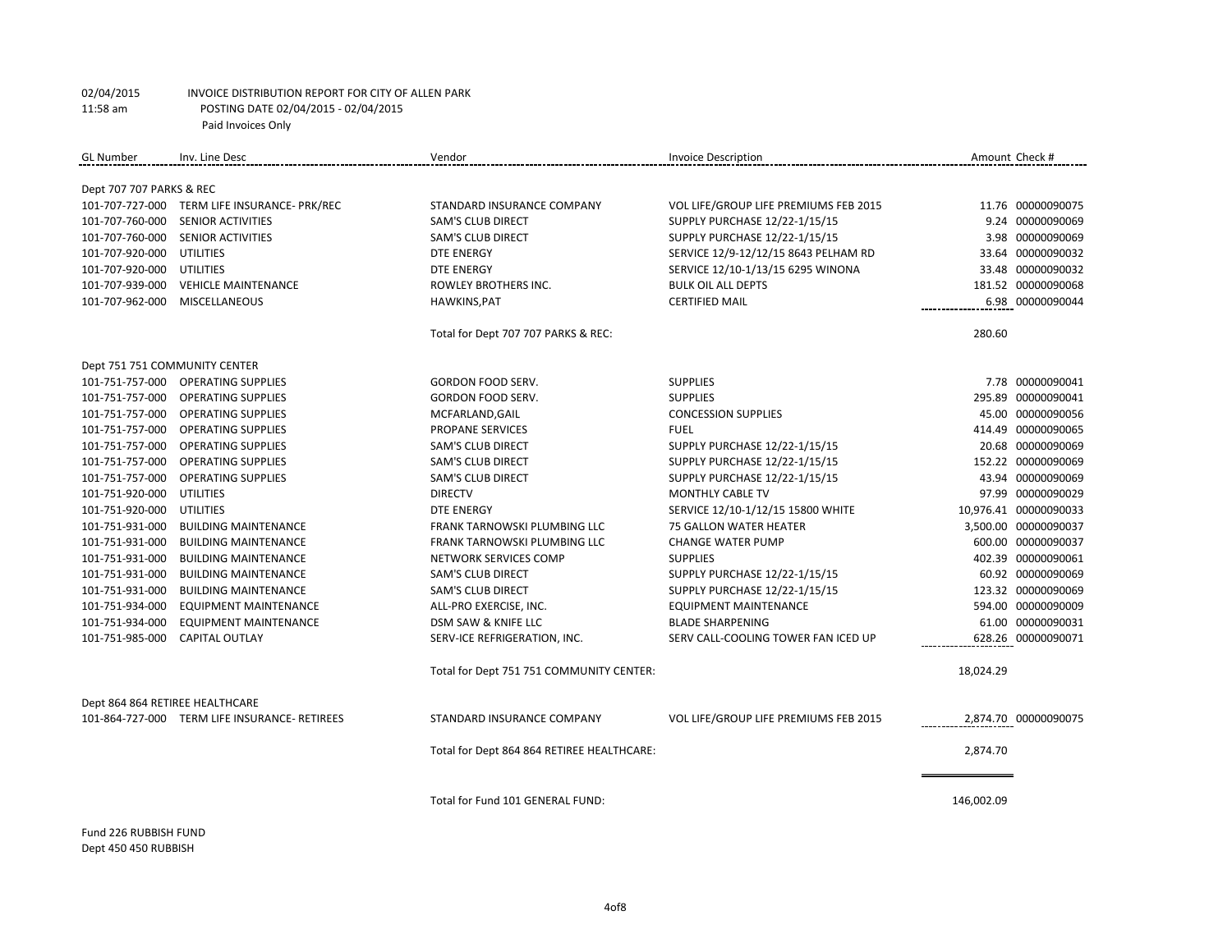| <b>GL Number</b>                | Inv. Line Desc                                | Vendor                                     | <b>Invoice Description</b>            | Amount Check #        |
|---------------------------------|-----------------------------------------------|--------------------------------------------|---------------------------------------|-----------------------|
|                                 |                                               |                                            |                                       |                       |
| Dept 707 707 PARKS & REC        |                                               |                                            |                                       |                       |
|                                 | 101-707-727-000 TERM LIFE INSURANCE- PRK/REC  | STANDARD INSURANCE COMPANY                 | VOL LIFE/GROUP LIFE PREMIUMS FEB 2015 | 11.76 00000090075     |
| 101-707-760-000                 | SENIOR ACTIVITIES                             | SAM'S CLUB DIRECT                          | SUPPLY PURCHASE 12/22-1/15/15         | 9.24 00000090069      |
| 101-707-760-000                 | SENIOR ACTIVITIES                             | <b>SAM'S CLUB DIRECT</b>                   | SUPPLY PURCHASE 12/22-1/15/15         | 3.98 00000090069      |
| 101-707-920-000                 | UTILITIES                                     | <b>DTE ENERGY</b>                          | SERVICE 12/9-12/12/15 8643 PELHAM RD  | 33.64 00000090032     |
| 101-707-920-000                 | UTILITIES                                     | <b>DTE ENERGY</b>                          | SERVICE 12/10-1/13/15 6295 WINONA     | 33.48 00000090032     |
| 101-707-939-000                 | <b>VEHICLE MAINTENANCE</b>                    | ROWLEY BROTHERS INC.                       | <b>BULK OIL ALL DEPTS</b>             | 181.52 00000090068    |
| 101-707-962-000                 | <b>MISCELLANEOUS</b>                          | HAWKINS, PAT                               | <b>CERTIFIED MAIL</b>                 | 6.98 00000090044      |
|                                 |                                               | Total for Dept 707 707 PARKS & REC:        |                                       | 280.60                |
| Dept 751 751 COMMUNITY CENTER   |                                               |                                            |                                       |                       |
| 101-751-757-000                 | <b>OPERATING SUPPLIES</b>                     | <b>GORDON FOOD SERV.</b>                   | <b>SUPPLIES</b>                       | 7.78 00000090041      |
|                                 | 101-751-757-000 OPERATING SUPPLIES            | <b>GORDON FOOD SERV.</b>                   | <b>SUPPLIES</b>                       | 295.89 00000090041    |
| 101-751-757-000                 | <b>OPERATING SUPPLIES</b>                     | MCFARLAND, GAIL                            | <b>CONCESSION SUPPLIES</b>            | 45.00 00000090056     |
| 101-751-757-000                 | <b>OPERATING SUPPLIES</b>                     | <b>PROPANE SERVICES</b>                    | <b>FUEL</b>                           | 414.49 00000090065    |
| 101-751-757-000                 | <b>OPERATING SUPPLIES</b>                     | <b>SAM'S CLUB DIRECT</b>                   | SUPPLY PURCHASE 12/22-1/15/15         | 20.68 00000090069     |
| 101-751-757-000                 | <b>OPERATING SUPPLIES</b>                     | <b>SAM'S CLUB DIRECT</b>                   | SUPPLY PURCHASE 12/22-1/15/15         | 152.22 00000090069    |
| 101-751-757-000                 | <b>OPERATING SUPPLIES</b>                     | <b>SAM'S CLUB DIRECT</b>                   | SUPPLY PURCHASE 12/22-1/15/15         | 43.94 00000090069     |
| 101-751-920-000                 | <b>UTILITIES</b>                              | <b>DIRECTV</b>                             | MONTHLY CABLE TV                      | 97.99 00000090029     |
| 101-751-920-000                 | <b>UTILITIES</b>                              | <b>DTE ENERGY</b>                          | SERVICE 12/10-1/12/15 15800 WHITE     | 10,976.41 00000090033 |
| 101-751-931-000                 | <b>BUILDING MAINTENANCE</b>                   | <b>FRANK TARNOWSKI PLUMBING LLC</b>        | <b>75 GALLON WATER HEATER</b>         | 3,500.00 00000090037  |
| 101-751-931-000                 | <b>BUILDING MAINTENANCE</b>                   | FRANK TARNOWSKI PLUMBING LLC               | <b>CHANGE WATER PUMP</b>              | 600.00 00000090037    |
| 101-751-931-000                 | <b>BUILDING MAINTENANCE</b>                   | NETWORK SERVICES COMP                      | <b>SUPPLIES</b>                       | 402.39 00000090061    |
| 101-751-931-000                 | <b>BUILDING MAINTENANCE</b>                   | SAM'S CLUB DIRECT                          | SUPPLY PURCHASE 12/22-1/15/15         | 60.92 00000090069     |
| 101-751-931-000                 | <b>BUILDING MAINTENANCE</b>                   | <b>SAM'S CLUB DIRECT</b>                   | SUPPLY PURCHASE 12/22-1/15/15         | 123.32 00000090069    |
| 101-751-934-000                 | <b>EQUIPMENT MAINTENANCE</b>                  | ALL-PRO EXERCISE, INC.                     | <b>EQUIPMENT MAINTENANCE</b>          | 594.00 00000090009    |
| 101-751-934-000                 | <b>EQUIPMENT MAINTENANCE</b>                  | DSM SAW & KNIFE LLC                        | <b>BLADE SHARPENING</b>               | 61.00 00000090031     |
| 101-751-985-000                 | <b>CAPITAL OUTLAY</b>                         | SERV-ICE REFRIGERATION, INC.               | SERV CALL-COOLING TOWER FAN ICED UP   | 628.26 00000090071    |
|                                 |                                               | Total for Dept 751 751 COMMUNITY CENTER:   |                                       | 18,024.29             |
| Dept 864 864 RETIREE HEALTHCARE |                                               |                                            |                                       |                       |
|                                 | 101-864-727-000 TERM LIFE INSURANCE- RETIREES | STANDARD INSURANCE COMPANY                 | VOL LIFE/GROUP LIFE PREMIUMS FEB 2015 | 2,874.70 00000090075  |
|                                 |                                               | Total for Dept 864 864 RETIREE HEALTHCARE: |                                       | 2,874.70              |
|                                 |                                               |                                            |                                       |                       |
|                                 |                                               | Total for Fund 101 GENERAL FUND:           |                                       | 146,002.09            |

Fund 226 RUBBISH FUND Dept 450 450 RUBBISH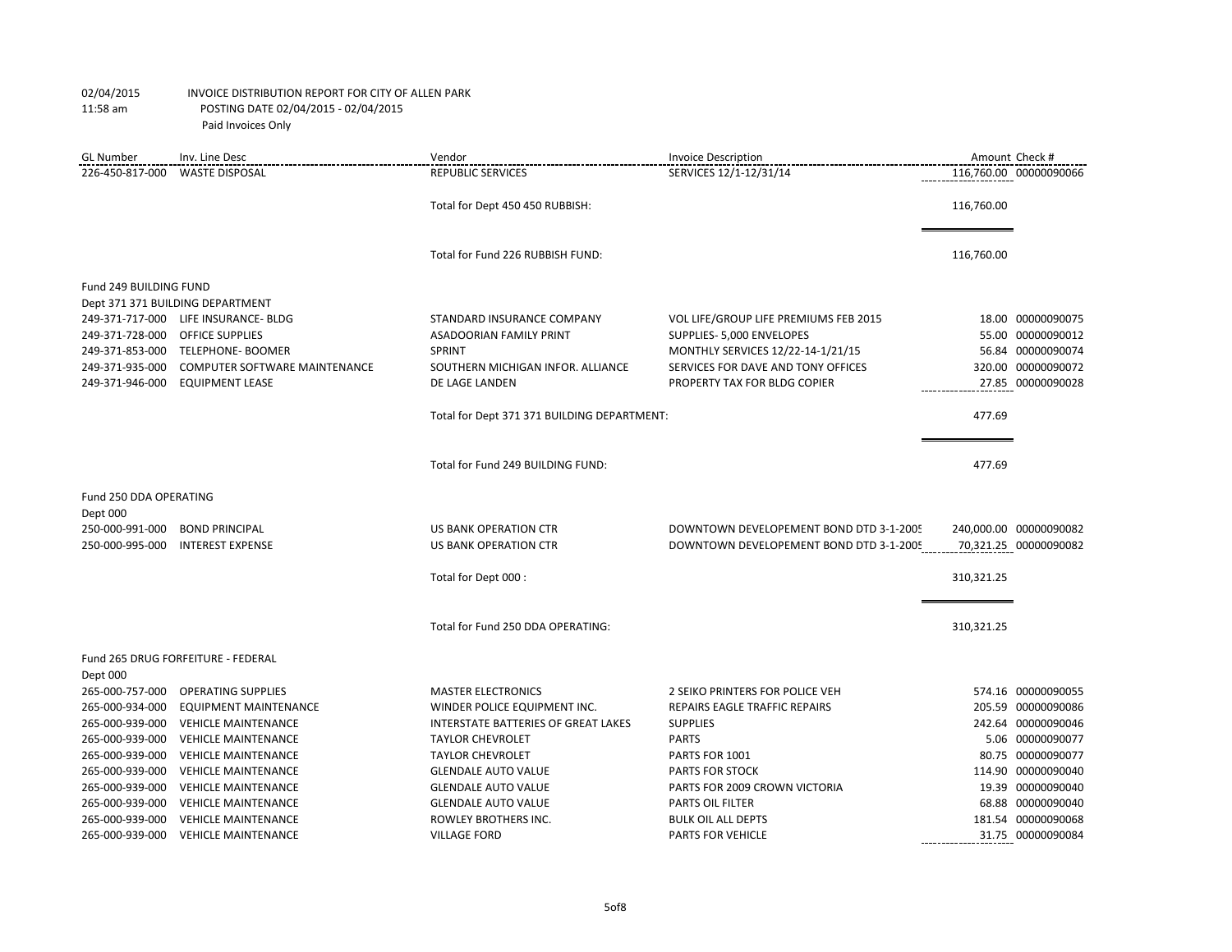| <b>GL Number</b>       | Inv. Line Desc                       | Vendor                                      | <b>Invoice Description</b>              |            | Amount Check #         |
|------------------------|--------------------------------------|---------------------------------------------|-----------------------------------------|------------|------------------------|
| 226-450-817-000        | <b>WASTE DISPOSAL</b>                | <b>REPUBLIC SERVICES</b>                    | SERVICES 12/1-12/31/14                  |            | 116.760.00 00000090066 |
|                        |                                      | Total for Dept 450 450 RUBBISH:             |                                         | 116,760.00 |                        |
|                        |                                      | Total for Fund 226 RUBBISH FUND:            |                                         | 116,760.00 |                        |
| Fund 249 BUILDING FUND |                                      |                                             |                                         |            |                        |
|                        | Dept 371 371 BUILDING DEPARTMENT     |                                             |                                         |            |                        |
|                        | 249-371-717-000 LIFE INSURANCE- BLDG | STANDARD INSURANCE COMPANY                  | VOL LIFE/GROUP LIFE PREMIUMS FEB 2015   |            | 18.00 00000090075      |
| 249-371-728-000        | <b>OFFICE SUPPLIES</b>               | <b>ASADOORIAN FAMILY PRINT</b>              | SUPPLIES- 5,000 ENVELOPES               |            | 55.00 00000090012      |
| 249-371-853-000        | TELEPHONE- BOOMER                    | SPRINT                                      | MONTHLY SERVICES 12/22-14-1/21/15       |            | 56.84 00000090074      |
| 249-371-935-000        | <b>COMPUTER SOFTWARE MAINTENANCE</b> | SOUTHERN MICHIGAN INFOR. ALLIANCE           | SERVICES FOR DAVE AND TONY OFFICES      |            | 320.00 00000090072     |
| 249-371-946-000        | <b>EQUIPMENT LEASE</b>               | DE LAGE LANDEN                              | PROPERTY TAX FOR BLDG COPIER            |            | 27.85 00000090028      |
|                        |                                      | Total for Dept 371 371 BUILDING DEPARTMENT: |                                         | 477.69     |                        |
|                        |                                      | Total for Fund 249 BUILDING FUND:           |                                         | 477.69     |                        |
| Fund 250 DDA OPERATING |                                      |                                             |                                         |            |                        |
| Dept 000               |                                      |                                             |                                         |            |                        |
| 250-000-991-000        | <b>BOND PRINCIPAL</b>                | <b>US BANK OPERATION CTR</b>                | DOWNTOWN DEVELOPEMENT BOND DTD 3-1-2005 |            | 240,000.00 00000090082 |
| 250-000-995-000        | <b>INTEREST EXPENSE</b>              | <b>US BANK OPERATION CTR</b>                | DOWNTOWN DEVELOPEMENT BOND DTD 3-1-2005 |            | 70,321.25 00000090082  |
|                        |                                      | Total for Dept 000 :                        |                                         | 310,321.25 |                        |
|                        |                                      | Total for Fund 250 DDA OPERATING:           |                                         | 310,321.25 |                        |
|                        |                                      |                                             |                                         |            |                        |
| Dept 000               | Fund 265 DRUG FORFEITURE - FEDERAL   |                                             |                                         |            |                        |
| 265-000-757-000        | <b>OPERATING SUPPLIES</b>            | <b>MASTER ELECTRONICS</b>                   | 2 SEIKO PRINTERS FOR POLICE VEH         |            | 574.16 00000090055     |
| 265-000-934-000        | <b>EQUIPMENT MAINTENANCE</b>         | WINDER POLICE EQUIPMENT INC.                | REPAIRS EAGLE TRAFFIC REPAIRS           |            | 205.59 00000090086     |
| 265-000-939-000        | <b>VEHICLE MAINTENANCE</b>           | INTERSTATE BATTERIES OF GREAT LAKES         | <b>SUPPLIES</b>                         |            | 242.64 00000090046     |
| 265-000-939-000        | <b>VEHICLE MAINTENANCE</b>           | <b>TAYLOR CHEVROLET</b>                     | <b>PARTS</b>                            |            | 5.06 00000090077       |
| 265-000-939-000        | <b>VEHICLE MAINTENANCE</b>           | <b>TAYLOR CHEVROLET</b>                     | PARTS FOR 1001                          |            | 80.75 00000090077      |
| 265-000-939-000        | <b>VEHICLE MAINTENANCE</b>           | <b>GLENDALE AUTO VALUE</b>                  | <b>PARTS FOR STOCK</b>                  |            | 114.90 00000090040     |
| 265-000-939-000        | <b>VEHICLE MAINTENANCE</b>           | <b>GLENDALE AUTO VALUE</b>                  | PARTS FOR 2009 CROWN VICTORIA           |            | 19.39 00000090040      |
| 265-000-939-000        | <b>VEHICLE MAINTENANCE</b>           | <b>GLENDALE AUTO VALUE</b>                  | PARTS OIL FILTER                        |            | 68.88 00000090040      |
| 265-000-939-000        | <b>VEHICLE MAINTENANCE</b>           | ROWLEY BROTHERS INC.                        | <b>BULK OIL ALL DEPTS</b>               |            | 181.54 00000090068     |
| 265-000-939-000        | <b>VEHICLE MAINTENANCE</b>           | <b>VILLAGE FORD</b>                         | PARTS FOR VEHICLE                       |            | 31.75 00000090084      |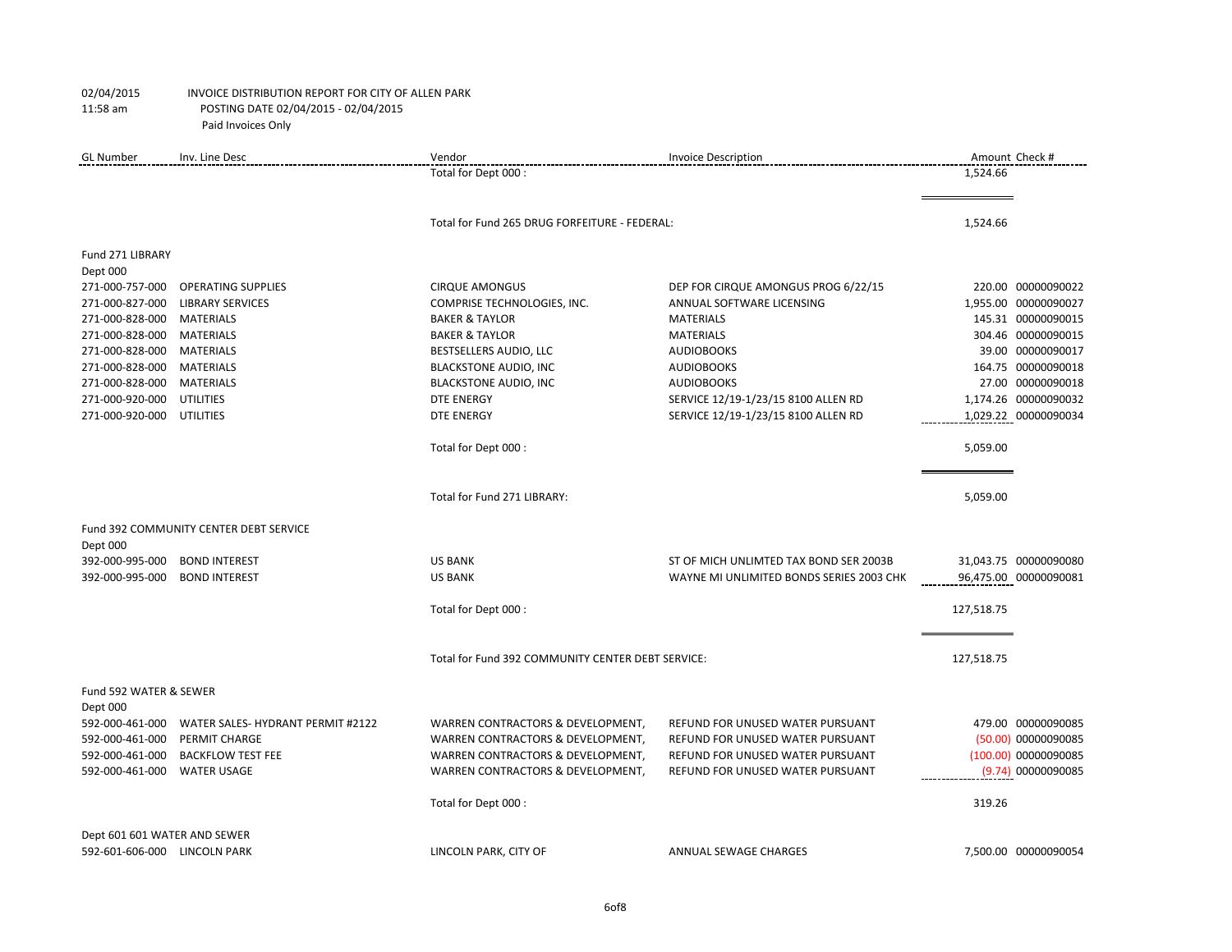| <b>GL Number</b>                   | Inv. Line Desc                         | Vendor                                            | <b>Invoice Description</b>               |            | Amount Check #        |
|------------------------------------|----------------------------------------|---------------------------------------------------|------------------------------------------|------------|-----------------------|
|                                    |                                        | Total for Dept 000 :                              |                                          | 1,524.66   |                       |
|                                    |                                        | Total for Fund 265 DRUG FORFEITURE - FEDERAL:     |                                          | 1,524.66   |                       |
| Fund 271 LIBRARY                   |                                        |                                                   |                                          |            |                       |
| Dept 000                           |                                        |                                                   |                                          |            |                       |
| 271-000-757-000                    | <b>OPERATING SUPPLIES</b>              | <b>CIRQUE AMONGUS</b>                             | DEP FOR CIRQUE AMONGUS PROG 6/22/15      |            | 220.00 00000090022    |
| 271-000-827-000                    | <b>LIBRARY SERVICES</b>                | COMPRISE TECHNOLOGIES, INC.                       | ANNUAL SOFTWARE LICENSING                |            | 1,955.00 00000090027  |
| 271-000-828-000                    | <b>MATERIALS</b>                       | <b>BAKER &amp; TAYLOR</b>                         | <b>MATERIALS</b>                         |            | 145.31 00000090015    |
| 271-000-828-000                    | <b>MATERIALS</b>                       | <b>BAKER &amp; TAYLOR</b>                         | <b>MATERIALS</b>                         |            | 304.46 00000090015    |
| 271-000-828-000                    | <b>MATERIALS</b>                       | BESTSELLERS AUDIO, LLC                            | <b>AUDIOBOOKS</b>                        |            | 39.00 00000090017     |
| 271-000-828-000                    | <b>MATERIALS</b>                       | <b>BLACKSTONE AUDIO, INC</b>                      | <b>AUDIOBOOKS</b>                        |            | 164.75 00000090018    |
| 271-000-828-000                    | <b>MATERIALS</b>                       | <b>BLACKSTONE AUDIO, INC</b>                      | <b>AUDIOBOOKS</b>                        |            | 27.00 00000090018     |
| 271-000-920-000                    | <b>UTILITIES</b>                       | <b>DTE ENERGY</b>                                 | SERVICE 12/19-1/23/15 8100 ALLEN RD      |            | 1,174.26 00000090032  |
| 271-000-920-000                    | <b>UTILITIES</b>                       | <b>DTE ENERGY</b>                                 | SERVICE 12/19-1/23/15 8100 ALLEN RD      |            | 1,029.22 00000090034  |
|                                    |                                        | Total for Dept 000 :                              |                                          | 5,059.00   |                       |
|                                    |                                        | Total for Fund 271 LIBRARY:                       |                                          | 5,059.00   |                       |
|                                    | Fund 392 COMMUNITY CENTER DEBT SERVICE |                                                   |                                          |            |                       |
| Dept 000                           |                                        |                                                   |                                          |            |                       |
| 392-000-995-000                    | <b>BOND INTEREST</b>                   | <b>US BANK</b>                                    | ST OF MICH UNLIMTED TAX BOND SER 2003B   |            | 31,043.75 00000090080 |
| 392-000-995-000                    | <b>BOND INTEREST</b>                   | <b>US BANK</b>                                    | WAYNE MI UNLIMITED BONDS SERIES 2003 CHK |            | 96,475.00 00000090081 |
|                                    |                                        |                                                   |                                          |            |                       |
|                                    |                                        | Total for Dept 000 :                              |                                          | 127,518.75 |                       |
|                                    |                                        | Total for Fund 392 COMMUNITY CENTER DEBT SERVICE: |                                          | 127,518.75 |                       |
|                                    |                                        |                                                   |                                          |            |                       |
| Fund 592 WATER & SEWER<br>Dept 000 |                                        |                                                   |                                          |            |                       |
| 592-000-461-000                    | WATER SALES-HYDRANT PERMIT #2122       | WARREN CONTRACTORS & DEVELOPMENT,                 | REFUND FOR UNUSED WATER PURSUANT         |            | 479.00 00000090085    |
| 592-000-461-000                    | PERMIT CHARGE                          | WARREN CONTRACTORS & DEVELOPMENT,                 | REFUND FOR UNUSED WATER PURSUANT         |            | (50.00) 00000090085   |
| 592-000-461-000                    | <b>BACKFLOW TEST FEE</b>               | WARREN CONTRACTORS & DEVELOPMENT,                 | REFUND FOR UNUSED WATER PURSUANT         |            | (100.00) 00000090085  |
| 592-000-461-000                    | <b>WATER USAGE</b>                     | WARREN CONTRACTORS & DEVELOPMENT,                 | REFUND FOR UNUSED WATER PURSUANT         |            | (9.74) 00000090085    |
|                                    |                                        | Total for Dept 000 :                              |                                          | 319.26     |                       |
| Dept 601 601 WATER AND SEWER       |                                        |                                                   |                                          |            |                       |
| 592-601-606-000 LINCOLN PARK       |                                        | LINCOLN PARK, CITY OF                             | <b>ANNUAL SEWAGE CHARGES</b>             |            | 7,500.00 00000090054  |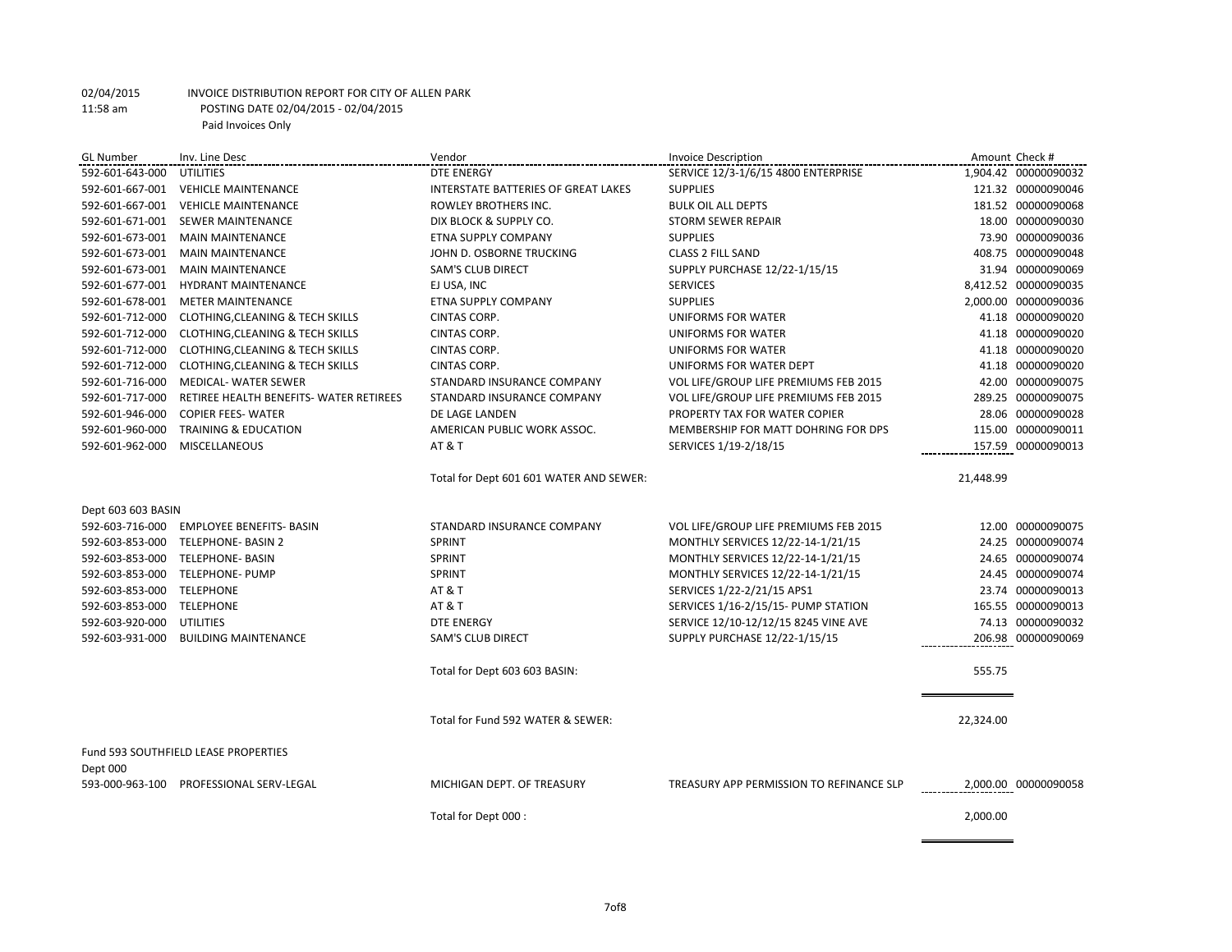| <b>GL Number</b>          | Inv. Line Desc                              | Vendor                                  | <b>Invoice Description</b>               |           | Amount Check #       |
|---------------------------|---------------------------------------------|-----------------------------------------|------------------------------------------|-----------|----------------------|
| 592-601-643-000           | UTILITIES                                   | <b>DTE ENERGY</b>                       | SERVICE 12/3-1/6/15 4800 ENTERPRISE      |           | 1,904.42 00000090032 |
|                           | 592-601-667-001 VEHICLE MAINTENANCE         | INTERSTATE BATTERIES OF GREAT LAKES     | <b>SUPPLIES</b>                          |           | 121.32 00000090046   |
|                           | 592-601-667-001 VEHICLE MAINTENANCE         | ROWLEY BROTHERS INC.                    | <b>BULK OIL ALL DEPTS</b>                |           | 181.52 00000090068   |
| 592-601-671-001           | <b>SEWER MAINTENANCE</b>                    | DIX BLOCK & SUPPLY CO.                  | <b>STORM SEWER REPAIR</b>                |           | 18.00 00000090030    |
| 592-601-673-001           | <b>MAIN MAINTENANCE</b>                     | ETNA SUPPLY COMPANY                     | <b>SUPPLIES</b>                          |           | 73.90 00000090036    |
| 592-601-673-001           | <b>MAIN MAINTENANCE</b>                     | JOHN D. OSBORNE TRUCKING                | <b>CLASS 2 FILL SAND</b>                 |           | 408.75 00000090048   |
| 592-601-673-001           | <b>MAIN MAINTENANCE</b>                     | <b>SAM'S CLUB DIRECT</b>                | SUPPLY PURCHASE 12/22-1/15/15            |           | 31.94 00000090069    |
| 592-601-677-001           | <b>HYDRANT MAINTENANCE</b>                  | EJ USA, INC                             | <b>SERVICES</b>                          |           | 8,412.52 00000090035 |
| 592-601-678-001           | <b>METER MAINTENANCE</b>                    | ETNA SUPPLY COMPANY                     | <b>SUPPLIES</b>                          |           | 2,000.00 00000090036 |
| 592-601-712-000           | CLOTHING, CLEANING & TECH SKILLS            | <b>CINTAS CORP.</b>                     | UNIFORMS FOR WATER                       |           | 41.18 00000090020    |
| 592-601-712-000           | CLOTHING, CLEANING & TECH SKILLS            | CINTAS CORP.                            | UNIFORMS FOR WATER                       |           | 41.18 00000090020    |
| 592-601-712-000           | <b>CLOTHING, CLEANING &amp; TECH SKILLS</b> | CINTAS CORP.                            | UNIFORMS FOR WATER                       |           | 41.18 00000090020    |
| 592-601-712-000           | CLOTHING, CLEANING & TECH SKILLS            | CINTAS CORP.                            | UNIFORMS FOR WATER DEPT                  |           | 41.18 00000090020    |
| 592-601-716-000           | <b>MEDICAL- WATER SEWER</b>                 | STANDARD INSURANCE COMPANY              | VOL LIFE/GROUP LIFE PREMIUMS FEB 2015    |           | 42.00 00000090075    |
| 592-601-717-000           | RETIREE HEALTH BENEFITS- WATER RETIREES     | STANDARD INSURANCE COMPANY              | VOL LIFE/GROUP LIFE PREMIUMS FEB 2015    |           | 289.25 00000090075   |
| 592-601-946-000           | <b>COPIER FEES- WATER</b>                   | DE LAGE LANDEN                          | PROPERTY TAX FOR WATER COPIER            |           | 28.06 00000090028    |
| 592-601-960-000           | TRAINING & EDUCATION                        | AMERICAN PUBLIC WORK ASSOC.             | MEMBERSHIP FOR MATT DOHRING FOR DPS      |           | 115.00 00000090011   |
| 592-601-962-000           | <b>MISCELLANEOUS</b>                        | <b>AT &amp; T</b>                       | SERVICES 1/19-2/18/15                    |           | 157.59 00000090013   |
|                           |                                             | Total for Dept 601 601 WATER AND SEWER: |                                          | 21,448.99 |                      |
| Dept 603 603 BASIN        |                                             |                                         |                                          |           |                      |
| 592-603-716-000           | <b>EMPLOYEE BENEFITS- BASIN</b>             | STANDARD INSURANCE COMPANY              | VOL LIFE/GROUP LIFE PREMIUMS FEB 2015    |           | 12.00 00000090075    |
| 592-603-853-000           | TELEPHONE- BASIN 2                          | SPRINT                                  | MONTHLY SERVICES 12/22-14-1/21/15        |           | 24.25 00000090074    |
|                           | 592-603-853-000 TELEPHONE- BASIN            | SPRINT                                  | MONTHLY SERVICES 12/22-14-1/21/15        |           | 24.65 00000090074    |
|                           | 592-603-853-000 TELEPHONE- PUMP             | <b>SPRINT</b>                           | MONTHLY SERVICES 12/22-14-1/21/15        |           | 24.45 00000090074    |
| 592-603-853-000 TELEPHONE |                                             | <b>AT &amp; T</b>                       | SERVICES 1/22-2/21/15 APS1               |           | 23.74 00000090013    |
| 592-603-853-000           | TELEPHONE                                   | AT & T                                  | SERVICES 1/16-2/15/15- PUMP STATION      |           | 165.55 00000090013   |
| 592-603-920-000           | <b>UTILITIES</b>                            | <b>DTE ENERGY</b>                       | SERVICE 12/10-12/12/15 8245 VINE AVE     |           | 74.13 00000090032    |
| 592-603-931-000           | <b>BUILDING MAINTENANCE</b>                 | <b>SAM'S CLUB DIRECT</b>                | SUPPLY PURCHASE 12/22-1/15/15            |           | 206.98 00000090069   |
|                           |                                             | Total for Dept 603 603 BASIN:           |                                          | 555.75    |                      |
|                           |                                             |                                         |                                          |           |                      |
|                           |                                             | Total for Fund 592 WATER & SEWER:       |                                          | 22,324.00 |                      |
|                           |                                             |                                         |                                          |           |                      |
| Dept 000                  | Fund 593 SOUTHFIELD LEASE PROPERTIES        |                                         |                                          |           |                      |
| 593-000-963-100           | PROFESSIONAL SERV-LEGAL                     | MICHIGAN DEPT. OF TREASURY              | TREASURY APP PERMISSION TO REFINANCE SLP |           | 2,000.00 00000090058 |
|                           |                                             | Total for Dept 000 :                    |                                          | 2,000.00  |                      |